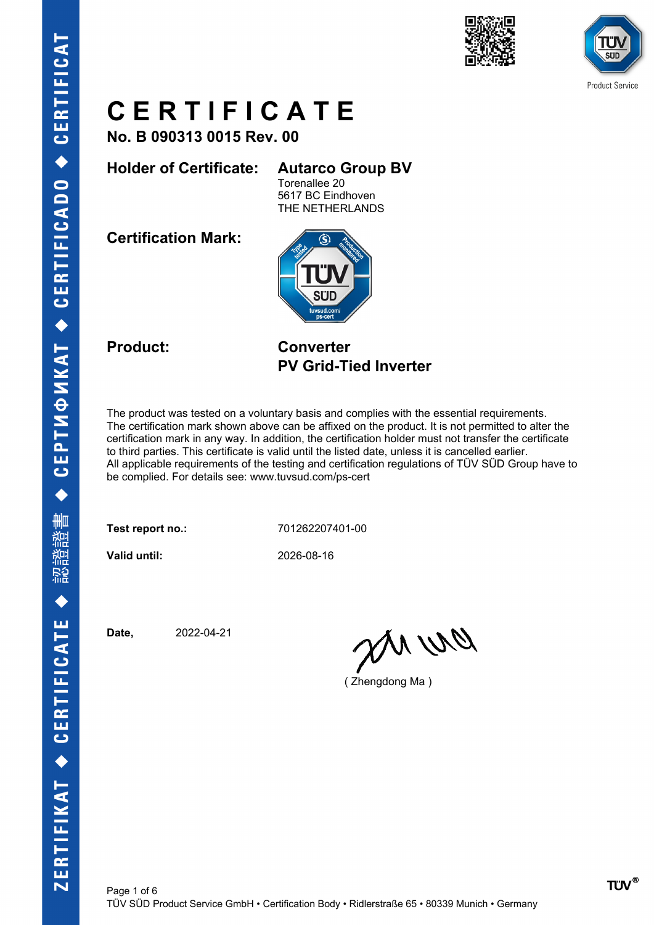



**No. B 090313 0015 Rev. 00**

**Holder of Certificate: Autarco Group BV**

Torenallee 20 5617 BC Eindhoven THE NETHERLANDS

**Certification Mark:**



**Product: Converter PV Grid-Tied Inverter**

The product was tested on a voluntary basis and complies with the essential requirements. The certification mark shown above can be affixed on the product. It is not permitted to alter the certification mark in any way. In addition, the certification holder must not transfer the certificate to third parties. This certificate is valid until the listed date, unless it is cancelled earlier. All applicable requirements of the testing and certification regulations of TÜV SÜD Group have to be complied. For details see: www.tuvsud.com/ps-cert

**Test report no.:** 701262207401-00

**Valid until:** 2026-08-16

**Date,** 2022-04-21

an wa

( Zhengdong Ma )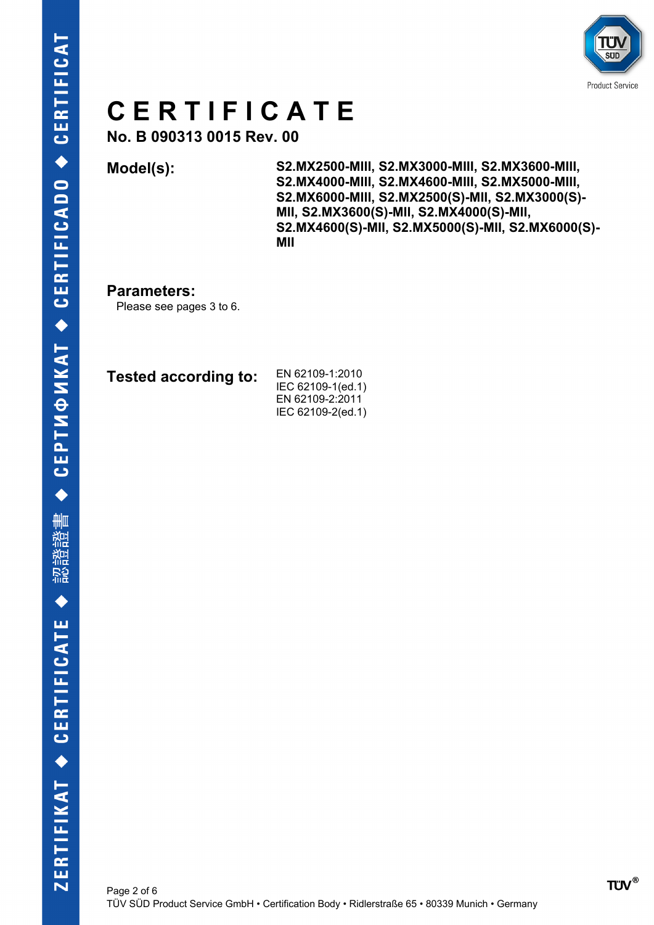

**No. B 090313 0015 Rev. 00**

**Model(s): S2.MX2500-MIII, S2.MX3000-MIII, S2.MX3600-MIII, S2.MX4000-MIII, S2.MX4600-MIII, S2.MX5000-MIII, S2.MX6000-MIII, S2.MX2500(S)-MII, S2.MX3000(S)- MII, S2.MX3600(S)-MII, S2.MX4000(S)-MII, S2.MX4600(S)-MII, S2.MX5000(S)-MII, S2.MX6000(S)- MII**

#### **Parameters:**

Please see pages 3 to 6.

| Tested according to: | EN 62109-1:2010<br>IEC 62109-1(ed.1) |
|----------------------|--------------------------------------|
|                      | EN 62109-2:2011                      |
|                      | IEC 62109-2(ed.1)                    |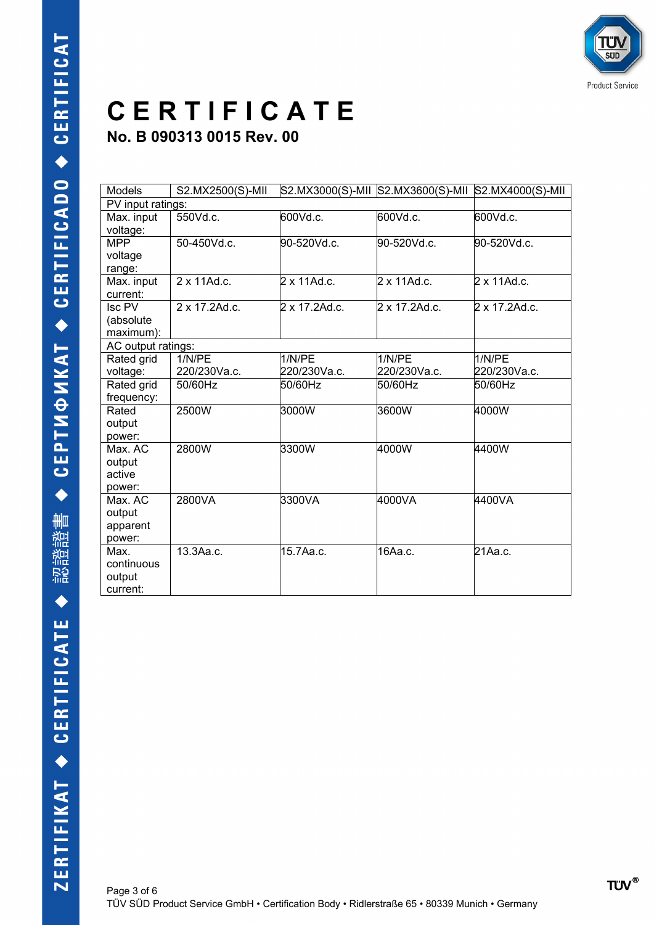**No. B 090313 0015 Rev. 00**

| <b>Models</b>                            | S2.MX2500(S)-MII       |                        |                        | S2.MX3000(S)-MII S2.MX3600(S)-MII S2.MX4000(S)-MII |
|------------------------------------------|------------------------|------------------------|------------------------|----------------------------------------------------|
| PV input ratings:                        |                        |                        |                        |                                                    |
| Max. input<br>voltage:                   | 550Vd.c.               | 600Vd.c.               | 600Vd.c.               | 600Vd.c.                                           |
| <b>MPP</b><br>voltage<br>range:          | 50-450Vd.c.            | 90-520Vd.c.            | 90-520Vd.c.            | 90-520Vd.c.                                        |
| Max. input<br>current:                   | 2 x 11Ad.c.            | 2 x 11Ad.c.            | $2 \times 11$ Ad.c.    | $2 \times 11$ Ad.c.                                |
| Isc PV<br>(absolute<br>maximum):         | 2 x 17.2Ad.c.          | 2 x 17.2Ad.c.          | 2 x 17.2Ad.c.          | 2 x 17.2Ad.c.                                      |
| AC output ratings:                       |                        |                        |                        |                                                    |
| Rated grid<br>voltage:                   | 1/N/PE<br>220/230Va.c. | 1/N/PE<br>220/230Va.c. | 1/N/PE<br>220/230Va.c. | 1/N/PE<br>220/230Va.c.                             |
| Rated grid<br>frequency:                 | 50/60Hz                | 50/60Hz                | 50/60Hz                | 50/60Hz                                            |
| Rated<br>output<br>power:                | 2500W                  | 3000W                  | 3600W                  | 4000W                                              |
| Max. AC<br>output<br>active<br>power:    | 2800W                  | 3300W                  | 4000W                  | 4400W                                              |
| Max. AC<br>output<br>apparent<br>power:  | 2800VA                 | 3300VA                 | 4000VA                 | 4400VA                                             |
| Max.<br>continuous<br>output<br>current: | 13.3Aa.c.              | 15.7Aa.c.              | 16Aa.c.                | 21Aa.c.                                            |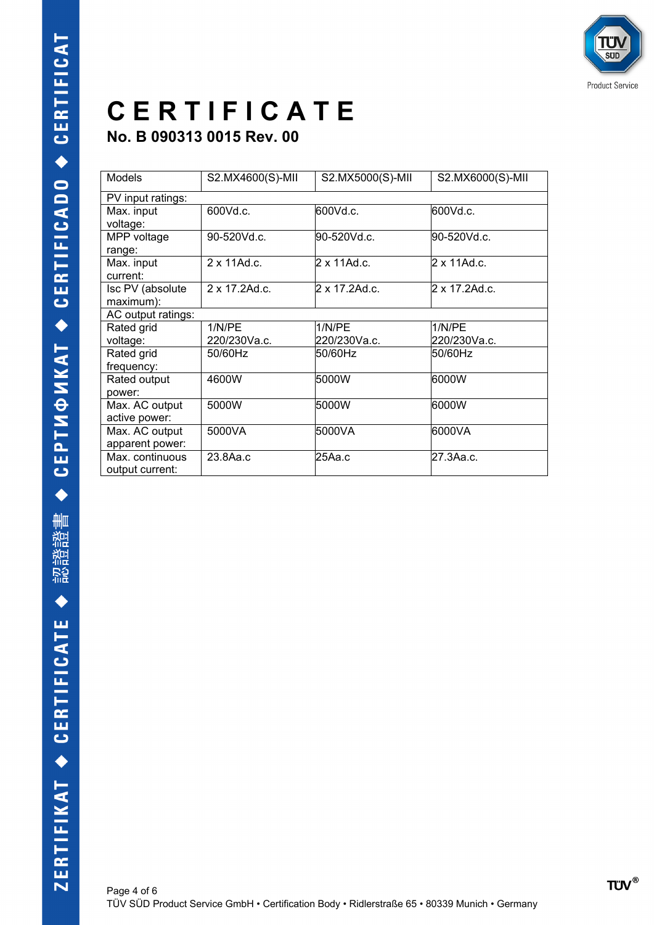**No. B 090313 0015 Rev. 00**

| <b>Models</b>                      | S2.MX4600(S)-MII | S2.MX5000(S)-MII | S2.MX6000(S)-MII |
|------------------------------------|------------------|------------------|------------------|
| PV input ratings:                  |                  |                  |                  |
| Max. input<br>voltage:             | 600Vd.c.         | 600Vd.c.         | 600Vd.c.         |
| MPP voltage<br>range:              | 90-520Vd.c.      | 90-520Vd.c.      | 90-520Vd.c.      |
| Max. input<br>current:             | 2 x 11Ad.c.      | 2 x 11Ad.c.      | 2 x 11Ad.c.      |
| Isc PV (absolute<br>maximum):      | 2 x 17.2Ad.c.    | 2 x 17.2Ad.c.    | 2 x 17.2Ad.c.    |
| AC output ratings:                 |                  |                  |                  |
| Rated grid                         | 1/N/PF           | 1/N/PE           | 1/N/PE           |
| voltage:                           | 220/230Va.c.     | 220/230Va.c.     | 220/230Va.c.     |
| Rated grid<br>frequency:           | 50/60Hz          | 50/60Hz          | 50/60Hz          |
| Rated output<br>power:             | 4600W            | 5000W            | 6000W            |
| Max. AC output<br>active power:    | 5000W            | 5000W            | 6000W            |
| Max. AC output<br>apparent power:  | 5000VA           | 5000VA           | 6000VA           |
| Max. continuous<br>output current: | 23.8Aa.c         | 25Aa.c           | l27.3Aa.c.       |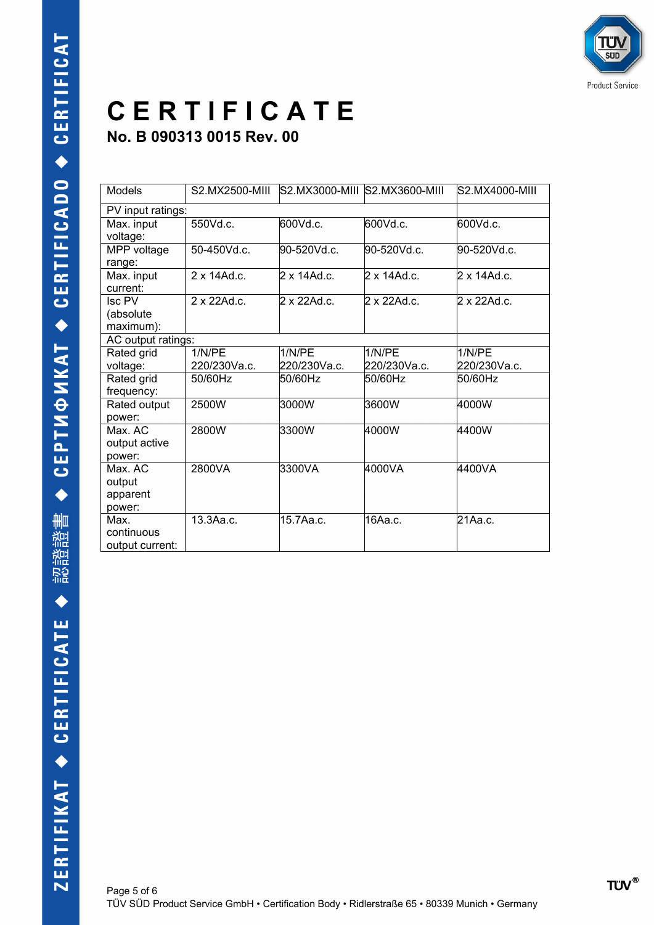#### **C E R T I F I C A T E No. B 090313 0015 Rev. 00**

| Models                                  | S2.MX2500-MIII         |                        | S2.MX3000-MIII S2.MX3600-MIII | S2.MX4000-MIII         |
|-----------------------------------------|------------------------|------------------------|-------------------------------|------------------------|
| PV input ratings:                       |                        |                        |                               |                        |
| Max. input<br>voltage:                  | 550Vd.c.               | 600Vd.c.               | 600Vd.c.                      | 600Vd.c.               |
| MPP voltage<br>range:                   | 50-450Vd.c.            | 90-520Vd.c.            | 90-520Vd.c.                   | 90-520Vd.c.            |
| Max. input<br>current:                  | $2 \times 14$ Ad.c.    | 2 x 14Ad.c.            | 2 x 14Ad.c.                   | $2 \times 14$ Ad.c.    |
| Isc PV<br>(absolute)<br>maximum):       | $2 \times 22$ Ad.c.    | $2 \times 22$ Ad.c.    | $2 \times 22$ Ad.c.           | $2 \times 22$ Ad.c.    |
| AC output ratings:                      |                        |                        |                               |                        |
| Rated grid<br>voltage:                  | 1/N/PE<br>220/230Va.c. | 1/N/PE<br>220/230Va.c. | 1/N/PE<br>220/230Va.c.        | 1/N/PE<br>220/230Va.c. |
| Rated grid<br>frequency:                | 50/60Hz                | 50/60Hz                | 50/60Hz                       | 50/60Hz                |
| Rated output<br>power:                  | 2500W                  | 3000W                  | 3600W                         | 4000W                  |
| Max AC<br>output active<br>power:       | 2800W                  | 3300W                  | 4000W                         | 4400W                  |
| Max. AC<br>output<br>apparent<br>power: | 2800VA                 | 3300VA                 | 4000VA                        | 4400VA                 |
| Max.<br>continuous<br>output current:   | 13.3Aa.c.              | 15.7Aa.c.              | 16Аа.с.                       | 21Aa.c.                |